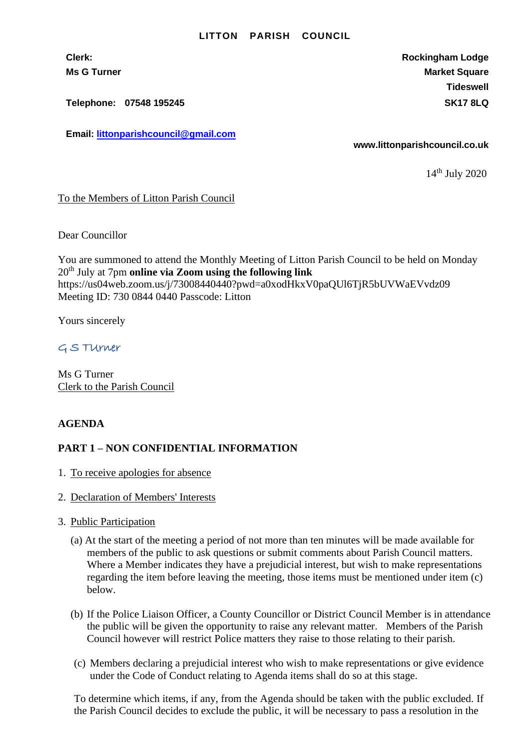#### **LITTON PARISH COUNCIL**

**Clerk: Rockingham Lodge Ms G Turner Market Square** Market Square Market Square Market Square **Tideswell**

**Telephone: 07548 195245 SK17 8LQ**

**Email: [littonparishcouncil@gmail.com](mailto:littonparishcouncil@gmail.com)**

**www.littonparishcouncil.co.uk**

14th July 2020

## To the Members of Litton Parish Council

Dear Councillor

You are summoned to attend the Monthly Meeting of Litton Parish Council to be held on Monday 20th July at 7pm **online via Zoom using the following link** https://us04web.zoom.us/j/73008440440?pwd=a0xodHkxV0paQUl6TjR5bUVWaEVvdz09 Meeting ID: 730 0844 0440 Passcode: Litton

Yours sincerely

G S TUrner

Ms G Turner Clerk to the Parish Council

### **AGENDA**

## **PART 1 – NON CONFIDENTIAL INFORMATION**

- 1. To receive apologies for absence
- 2. Declaration of Members' Interests
- 3. Public Participation
	- (a) At the start of the meeting a period of not more than ten minutes will be made available for members of the public to ask questions or submit comments about Parish Council matters. Where a Member indicates they have a prejudicial interest, but wish to make representations regarding the item before leaving the meeting, those items must be mentioned under item (c) below.
	- (b) If the Police Liaison Officer, a County Councillor or District Council Member is in attendance the public will be given the opportunity to raise any relevant matter. Members of the Parish Council however will restrict Police matters they raise to those relating to their parish.
	- (c) Members declaring a prejudicial interest who wish to make representations or give evidence under the Code of Conduct relating to Agenda items shall do so at this stage.

To determine which items, if any, from the Agenda should be taken with the public excluded. If the Parish Council decides to exclude the public, it will be necessary to pass a resolution in the